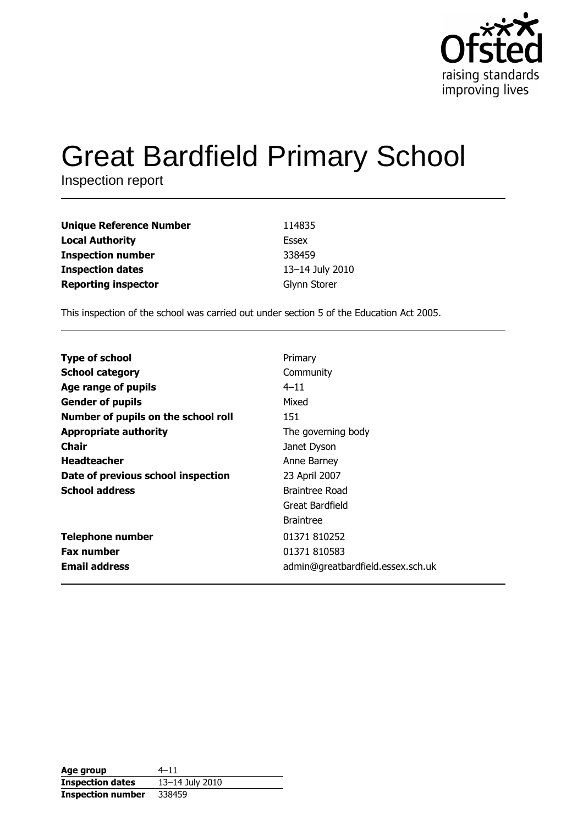

# **Great Bardfield Primary School**

Inspection report

| <b>Unique Reference Number</b> | 114835          |
|--------------------------------|-----------------|
| <b>Local Authority</b>         | Essex           |
| <b>Inspection number</b>       | 338459          |
| <b>Inspection dates</b>        | 13-14 July 2010 |
| <b>Reporting inspector</b>     | Glynn Storer    |

This inspection of the school was carried out under section 5 of the Education Act 2005.

| <b>Type of school</b>               | Primary                           |
|-------------------------------------|-----------------------------------|
| <b>School category</b>              | Community                         |
| Age range of pupils                 | $4 - 11$                          |
| <b>Gender of pupils</b>             | Mixed                             |
| Number of pupils on the school roll | 151                               |
| <b>Appropriate authority</b>        | The governing body                |
| <b>Chair</b>                        | Janet Dyson                       |
| <b>Headteacher</b>                  | Anne Barney                       |
| Date of previous school inspection  | 23 April 2007                     |
| <b>School address</b>               | Braintree Road                    |
|                                     | Great Bardfield                   |
|                                     | <b>Braintree</b>                  |
| <b>Telephone number</b>             | 01371 810252                      |
| <b>Fax number</b>                   | 01371 810583                      |
| <b>Email address</b>                | admin@greatbardfield.essex.sch.uk |

| Age group                | $4 - 11$        |
|--------------------------|-----------------|
| <b>Inspection dates</b>  | 13-14 July 2010 |
| <b>Inspection number</b> | 338459          |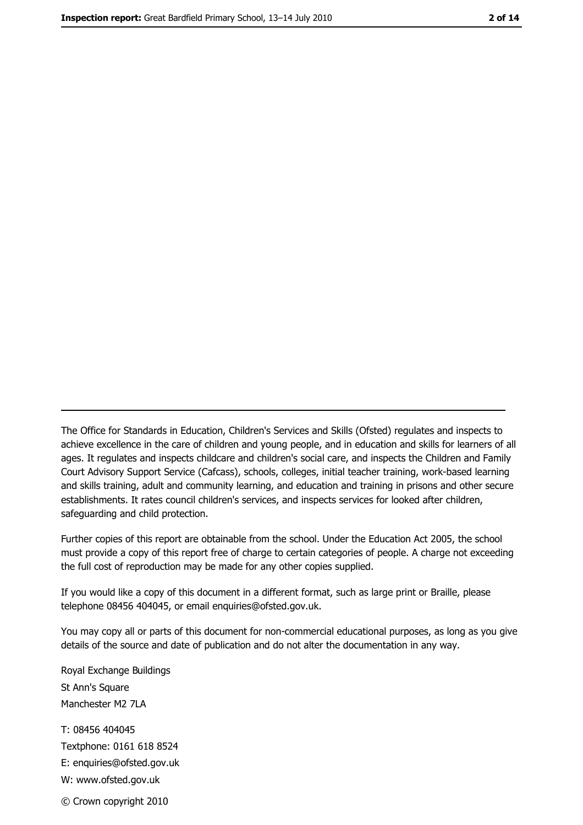The Office for Standards in Education, Children's Services and Skills (Ofsted) regulates and inspects to achieve excellence in the care of children and young people, and in education and skills for learners of all ages. It regulates and inspects childcare and children's social care, and inspects the Children and Family Court Advisory Support Service (Cafcass), schools, colleges, initial teacher training, work-based learning and skills training, adult and community learning, and education and training in prisons and other secure establishments. It rates council children's services, and inspects services for looked after children, safequarding and child protection.

Further copies of this report are obtainable from the school. Under the Education Act 2005, the school must provide a copy of this report free of charge to certain categories of people. A charge not exceeding the full cost of reproduction may be made for any other copies supplied.

If you would like a copy of this document in a different format, such as large print or Braille, please telephone 08456 404045, or email enquiries@ofsted.gov.uk.

You may copy all or parts of this document for non-commercial educational purposes, as long as you give details of the source and date of publication and do not alter the documentation in any way.

Royal Exchange Buildings St Ann's Square Manchester M2 7LA T: 08456 404045 Textphone: 0161 618 8524 E: enquiries@ofsted.gov.uk W: www.ofsted.gov.uk © Crown copyright 2010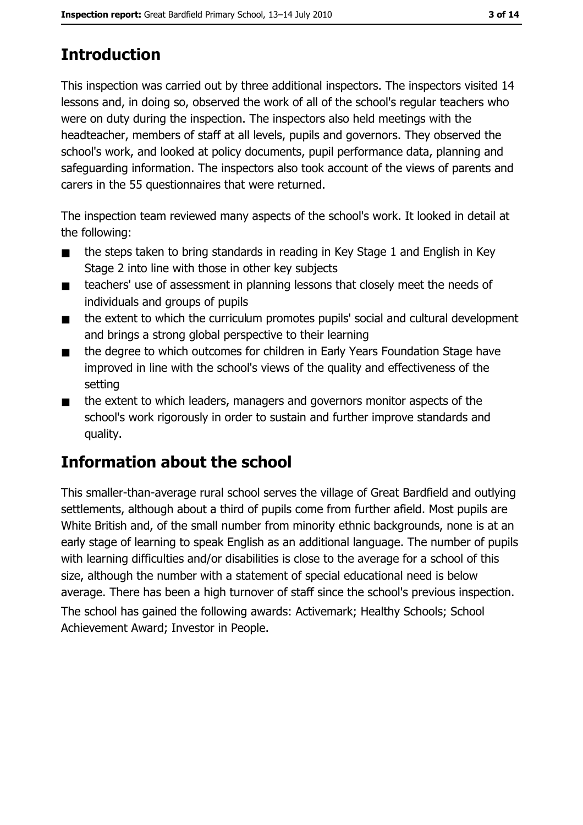# **Introduction**

This inspection was carried out by three additional inspectors. The inspectors visited 14 lessons and, in doing so, observed the work of all of the school's regular teachers who were on duty during the inspection. The inspectors also held meetings with the headteacher, members of staff at all levels, pupils and governors. They observed the school's work, and looked at policy documents, pupil performance data, planning and safeguarding information. The inspectors also took account of the views of parents and carers in the 55 questionnaires that were returned.

The inspection team reviewed many aspects of the school's work. It looked in detail at the following:

- the steps taken to bring standards in reading in Key Stage 1 and English in Key  $\blacksquare$ Stage 2 into line with those in other key subjects
- teachers' use of assessment in planning lessons that closely meet the needs of  $\blacksquare$ individuals and groups of pupils
- the extent to which the curriculum promotes pupils' social and cultural development  $\blacksquare$ and brings a strong global perspective to their learning
- the degree to which outcomes for children in Early Years Foundation Stage have  $\blacksquare$ improved in line with the school's views of the quality and effectiveness of the setting
- the extent to which leaders, managers and governors monitor aspects of the  $\blacksquare$ school's work rigorously in order to sustain and further improve standards and quality.

# **Information about the school**

This smaller-than-average rural school serves the village of Great Bardfield and outlying settlements, although about a third of pupils come from further afield. Most pupils are White British and, of the small number from minority ethnic backgrounds, none is at an early stage of learning to speak English as an additional language. The number of pupils with learning difficulties and/or disabilities is close to the average for a school of this size, although the number with a statement of special educational need is below average. There has been a high turnover of staff since the school's previous inspection. The school has gained the following awards: Activemark; Healthy Schools; School Achievement Award; Investor in People.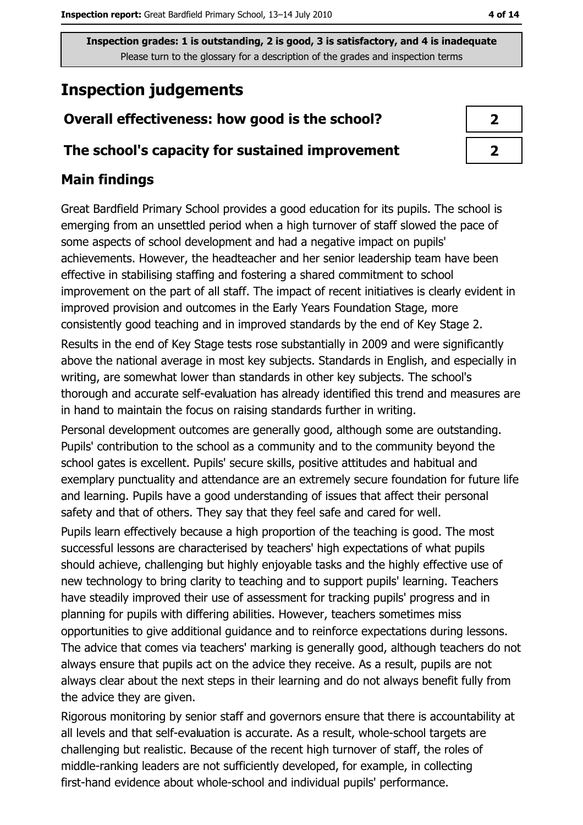# **Inspection judgements**

## Overall effectiveness: how good is the school?

### The school's capacity for sustained improvement

## **Main findings**

Great Bardfield Primary School provides a good education for its pupils. The school is emerging from an unsettled period when a high turnover of staff slowed the pace of some aspects of school development and had a negative impact on pupils' achievements. However, the headteacher and her senior leadership team have been effective in stabilising staffing and fostering a shared commitment to school improvement on the part of all staff. The impact of recent initiatives is clearly evident in improved provision and outcomes in the Early Years Foundation Stage, more consistently good teaching and in improved standards by the end of Key Stage 2.

Results in the end of Key Stage tests rose substantially in 2009 and were significantly above the national average in most key subjects. Standards in English, and especially in writing, are somewhat lower than standards in other key subjects. The school's thorough and accurate self-evaluation has already identified this trend and measures are in hand to maintain the focus on raising standards further in writing.

Personal development outcomes are generally good, although some are outstanding. Pupils' contribution to the school as a community and to the community beyond the school gates is excellent. Pupils' secure skills, positive attitudes and habitual and exemplary punctuality and attendance are an extremely secure foundation for future life and learning. Pupils have a good understanding of issues that affect their personal safety and that of others. They say that they feel safe and cared for well.

Pupils learn effectively because a high proportion of the teaching is good. The most successful lessons are characterised by teachers' high expectations of what pupils should achieve, challenging but highly enjoyable tasks and the highly effective use of new technology to bring clarity to teaching and to support pupils' learning. Teachers have steadily improved their use of assessment for tracking pupils' progress and in planning for pupils with differing abilities. However, teachers sometimes miss opportunities to give additional quidance and to reinforce expectations during lessons. The advice that comes via teachers' marking is generally good, although teachers do not always ensure that pupils act on the advice they receive. As a result, pupils are not always clear about the next steps in their learning and do not always benefit fully from the advice they are given.

Rigorous monitoring by senior staff and governors ensure that there is accountability at all levels and that self-evaluation is accurate. As a result, whole-school targets are challenging but realistic. Because of the recent high turnover of staff, the roles of middle-ranking leaders are not sufficiently developed, for example, in collecting first-hand evidence about whole-school and individual pupils' performance.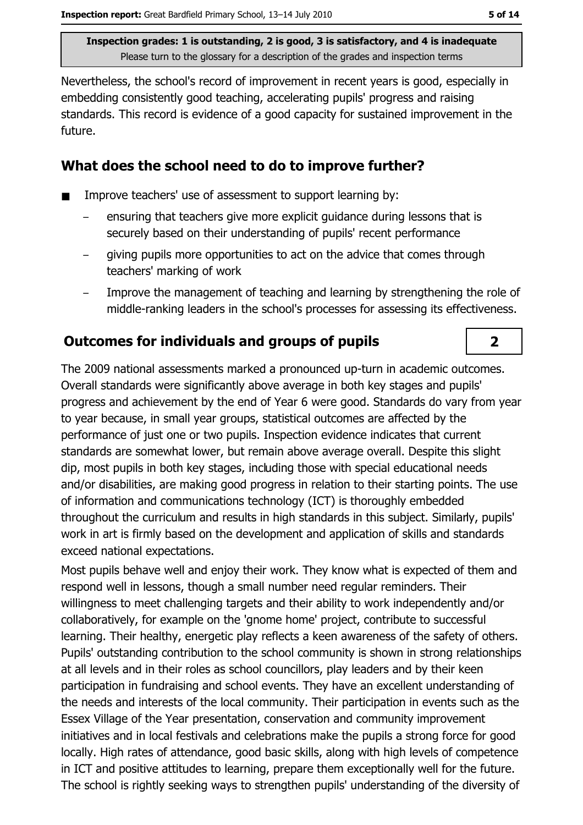Nevertheless, the school's record of improvement in recent years is good, especially in embedding consistently good teaching, accelerating pupils' progress and raising standards. This record is evidence of a good capacity for sustained improvement in the future.

## What does the school need to do to improve further?

- Improve teachers' use of assessment to support learning by:
	- ensuring that teachers give more explicit guidance during lessons that is securely based on their understanding of pupils' recent performance
	- giving pupils more opportunities to act on the advice that comes through teachers' marking of work
	- Improve the management of teaching and learning by strengthening the role of middle-ranking leaders in the school's processes for assessing its effectiveness.

## **Outcomes for individuals and groups of pupils**

The 2009 national assessments marked a pronounced up-turn in academic outcomes. Overall standards were significantly above average in both key stages and pupils' progress and achievement by the end of Year 6 were good. Standards do vary from year to year because, in small year groups, statistical outcomes are affected by the performance of just one or two pupils. Inspection evidence indicates that current standards are somewhat lower, but remain above average overall. Despite this slight dip, most pupils in both key stages, including those with special educational needs and/or disabilities, are making good progress in relation to their starting points. The use of information and communications technology (ICT) is thoroughly embedded throughout the curriculum and results in high standards in this subject. Similarly, pupils' work in art is firmly based on the development and application of skills and standards exceed national expectations.

Most pupils behave well and enjoy their work. They know what is expected of them and respond well in lessons, though a small number need regular reminders. Their willingness to meet challenging targets and their ability to work independently and/or collaboratively, for example on the 'gnome home' project, contribute to successful learning. Their healthy, energetic play reflects a keen awareness of the safety of others. Pupils' outstanding contribution to the school community is shown in strong relationships at all levels and in their roles as school councillors, play leaders and by their keen participation in fundraising and school events. They have an excellent understanding of the needs and interests of the local community. Their participation in events such as the Essex Village of the Year presentation, conservation and community improvement initiatives and in local festivals and celebrations make the pupils a strong force for good locally. High rates of attendance, good basic skills, along with high levels of competence in ICT and positive attitudes to learning, prepare them exceptionally well for the future. The school is rightly seeking ways to strengthen pupils' understanding of the diversity of

 $\overline{2}$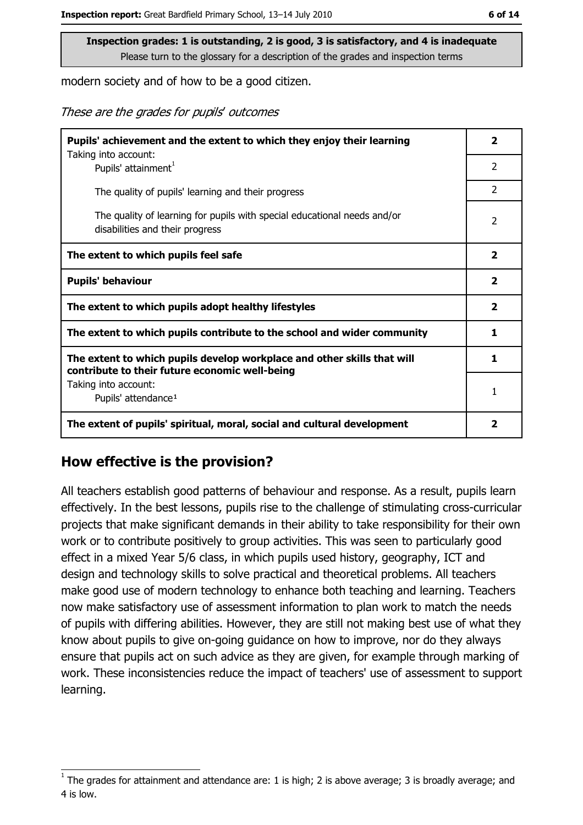modern society and of how to be a good citizen.

These are the grades for pupils' outcomes

| Pupils' achievement and the extent to which they enjoy their learning                                                     |                |
|---------------------------------------------------------------------------------------------------------------------------|----------------|
| Taking into account:<br>Pupils' attainment <sup>1</sup>                                                                   | 2              |
| The quality of pupils' learning and their progress                                                                        | $\overline{2}$ |
| The quality of learning for pupils with special educational needs and/or<br>disabilities and their progress               |                |
| The extent to which pupils feel safe                                                                                      |                |
| <b>Pupils' behaviour</b>                                                                                                  |                |
| The extent to which pupils adopt healthy lifestyles                                                                       |                |
| The extent to which pupils contribute to the school and wider community                                                   |                |
| The extent to which pupils develop workplace and other skills that will<br>contribute to their future economic well-being |                |
| Taking into account:<br>Pupils' attendance <sup>1</sup>                                                                   |                |
| The extent of pupils' spiritual, moral, social and cultural development                                                   |                |

#### How effective is the provision?

All teachers establish good patterns of behaviour and response. As a result, pupils learn effectively. In the best lessons, pupils rise to the challenge of stimulating cross-curricular projects that make significant demands in their ability to take responsibility for their own work or to contribute positively to group activities. This was seen to particularly good effect in a mixed Year 5/6 class, in which pupils used history, geography, ICT and design and technology skills to solve practical and theoretical problems. All teachers make good use of modern technology to enhance both teaching and learning. Teachers now make satisfactory use of assessment information to plan work to match the needs of pupils with differing abilities. However, they are still not making best use of what they know about pupils to give on-going guidance on how to improve, nor do they always ensure that pupils act on such advice as they are given, for example through marking of work. These inconsistencies reduce the impact of teachers' use of assessment to support learning.

The grades for attainment and attendance are: 1 is high; 2 is above average; 3 is broadly average; and 4 is low.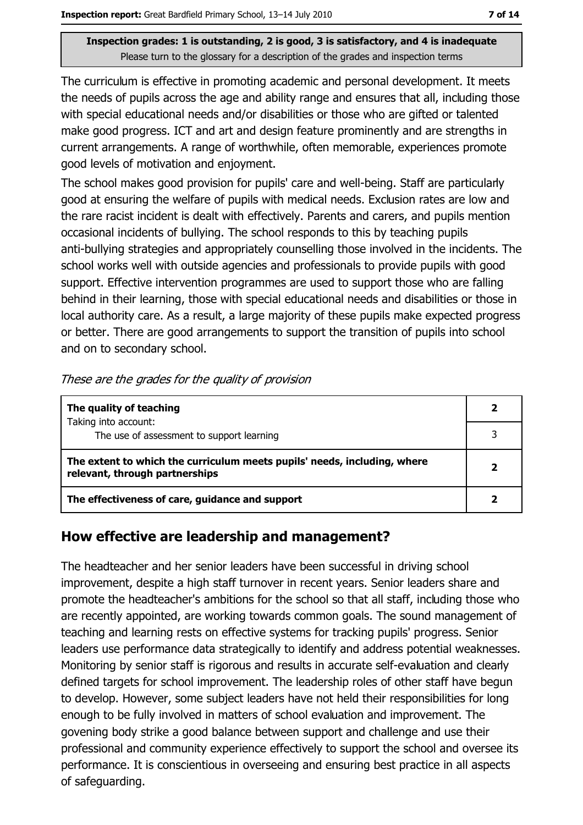The curriculum is effective in promoting academic and personal development. It meets the needs of pupils across the age and ability range and ensures that all, including those with special educational needs and/or disabilities or those who are gifted or talented make good progress. ICT and art and design feature prominently and are strengths in current arrangements. A range of worthwhile, often memorable, experiences promote good levels of motivation and enjoyment.

The school makes good provision for pupils' care and well-being. Staff are particularly good at ensuring the welfare of pupils with medical needs. Exclusion rates are low and the rare racist incident is dealt with effectively. Parents and carers, and pupils mention occasional incidents of bullying. The school responds to this by teaching pupils anti-bullying strategies and appropriately counselling those involved in the incidents. The school works well with outside agencies and professionals to provide pupils with good support. Effective intervention programmes are used to support those who are falling behind in their learning, those with special educational needs and disabilities or those in local authority care. As a result, a large majority of these pupils make expected progress or better. There are good arrangements to support the transition of pupils into school and on to secondary school.

| The quality of teaching                                                                                    |  |
|------------------------------------------------------------------------------------------------------------|--|
| Taking into account:<br>The use of assessment to support learning                                          |  |
| The extent to which the curriculum meets pupils' needs, including, where<br>relevant, through partnerships |  |
| The effectiveness of care, guidance and support                                                            |  |

## How effective are leadership and management?

The headteacher and her senior leaders have been successful in driving school improvement, despite a high staff turnover in recent years. Senior leaders share and promote the headteacher's ambitions for the school so that all staff, including those who are recently appointed, are working towards common goals. The sound management of teaching and learning rests on effective systems for tracking pupils' progress. Senior leaders use performance data strategically to identify and address potential weaknesses. Monitoring by senior staff is rigorous and results in accurate self-evaluation and clearly defined targets for school improvement. The leadership roles of other staff have begun to develop. However, some subject leaders have not held their responsibilities for long enough to be fully involved in matters of school evaluation and improvement. The govening body strike a good balance between support and challenge and use their professional and community experience effectively to support the school and oversee its performance. It is conscientious in overseeing and ensuring best practice in all aspects of safeguarding.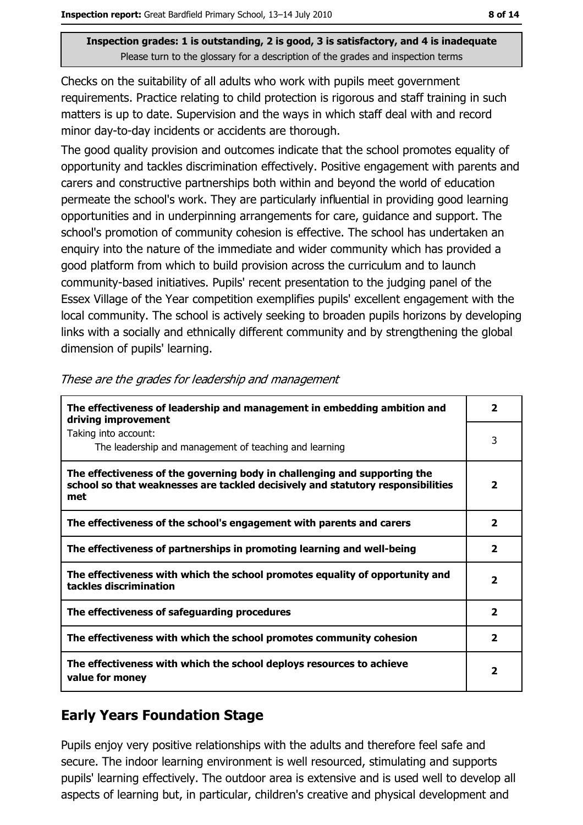Checks on the suitability of all adults who work with pupils meet government requirements. Practice relating to child protection is rigorous and staff training in such matters is up to date. Supervision and the ways in which staff deal with and record minor day-to-day incidents or accidents are thorough.

The good quality provision and outcomes indicate that the school promotes equality of opportunity and tackles discrimination effectively. Positive engagement with parents and carers and constructive partnerships both within and beyond the world of education permeate the school's work. They are particularly influential in providing good learning opportunities and in underpinning arrangements for care, guidance and support. The school's promotion of community cohesion is effective. The school has undertaken an enquiry into the nature of the immediate and wider community which has provided a good platform from which to build provision across the curriculum and to launch community-based initiatives. Pupils' recent presentation to the judging panel of the Essex Village of the Year competition exemplifies pupils' excellent engagement with the local community. The school is actively seeking to broaden pupils horizons by developing links with a socially and ethnically different community and by strengthening the global dimension of pupils' learning.

| The effectiveness of leadership and management in embedding ambition and<br>driving improvement                                                                     |                         |  |
|---------------------------------------------------------------------------------------------------------------------------------------------------------------------|-------------------------|--|
| Taking into account:<br>The leadership and management of teaching and learning                                                                                      | 3                       |  |
| The effectiveness of the governing body in challenging and supporting the<br>school so that weaknesses are tackled decisively and statutory responsibilities<br>met | $\overline{\mathbf{2}}$ |  |
| The effectiveness of the school's engagement with parents and carers                                                                                                | $\mathbf{2}$            |  |
| The effectiveness of partnerships in promoting learning and well-being                                                                                              | $\overline{\mathbf{2}}$ |  |
| The effectiveness with which the school promotes equality of opportunity and<br>tackles discrimination                                                              | $\overline{\mathbf{2}}$ |  |
| The effectiveness of safeguarding procedures                                                                                                                        | $\mathbf{2}$            |  |
| The effectiveness with which the school promotes community cohesion                                                                                                 | $\overline{\mathbf{2}}$ |  |
| The effectiveness with which the school deploys resources to achieve<br>value for money                                                                             | $\mathbf{2}$            |  |

#### These are the grades for leadership and management

## **Early Years Foundation Stage**

Pupils enjoy very positive relationships with the adults and therefore feel safe and secure. The indoor learning environment is well resourced, stimulating and supports pupils' learning effectively. The outdoor area is extensive and is used well to develop all aspects of learning but, in particular, children's creative and physical development and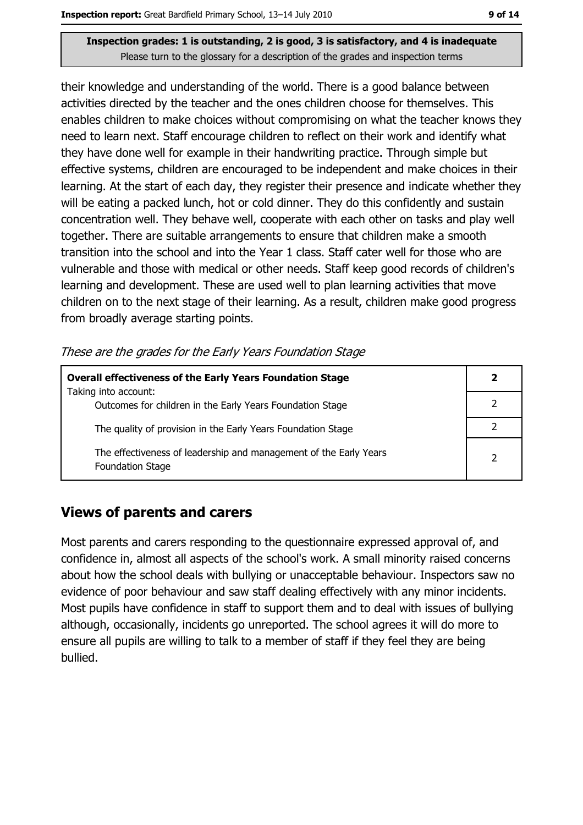their knowledge and understanding of the world. There is a good balance between activities directed by the teacher and the ones children choose for themselves. This enables children to make choices without compromising on what the teacher knows they need to learn next. Staff encourage children to reflect on their work and identify what they have done well for example in their handwriting practice. Through simple but effective systems, children are encouraged to be independent and make choices in their learning. At the start of each day, they register their presence and indicate whether they will be eating a packed lunch, hot or cold dinner. They do this confidently and sustain concentration well. They behave well, cooperate with each other on tasks and play well together. There are suitable arrangements to ensure that children make a smooth transition into the school and into the Year 1 class. Staff cater well for those who are vulnerable and those with medical or other needs. Staff keep good records of children's learning and development. These are used well to plan learning activities that move children on to the next stage of their learning. As a result, children make good progress from broadly average starting points.

These are the grades for the Early Years Foundation Stage

| <b>Overall effectiveness of the Early Years Foundation Stage</b>                             |   |  |
|----------------------------------------------------------------------------------------------|---|--|
| Taking into account:<br>Outcomes for children in the Early Years Foundation Stage            |   |  |
| The quality of provision in the Early Years Foundation Stage                                 |   |  |
| The effectiveness of leadership and management of the Early Years<br><b>Foundation Stage</b> | っ |  |

## **Views of parents and carers**

Most parents and carers responding to the questionnaire expressed approval of, and confidence in, almost all aspects of the school's work. A small minority raised concerns about how the school deals with bullying or unacceptable behaviour. Inspectors saw no evidence of poor behaviour and saw staff dealing effectively with any minor incidents. Most pupils have confidence in staff to support them and to deal with issues of bullying although, occasionally, incidents go unreported. The school agrees it will do more to ensure all pupils are willing to talk to a member of staff if they feel they are being bullied.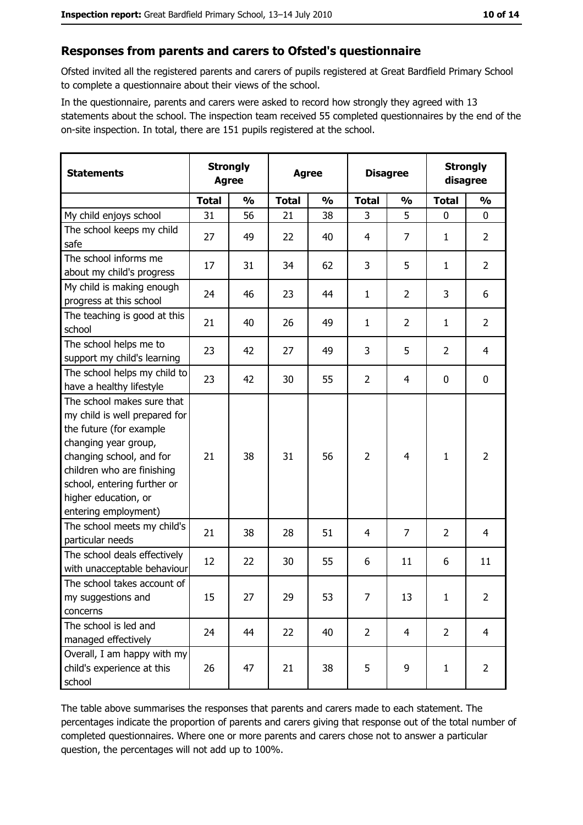#### Responses from parents and carers to Ofsted's questionnaire

Ofsted invited all the registered parents and carers of pupils registered at Great Bardfield Primary School to complete a questionnaire about their views of the school.

In the questionnaire, parents and carers were asked to record how strongly they agreed with 13 statements about the school. The inspection team received 55 completed questionnaires by the end of the on-site inspection. In total, there are 151 pupils registered at the school.

| <b>Statements</b>                                                                                                                                                                                                                                       | <b>Strongly</b><br><b>Agree</b> |               | <b>Disagree</b><br><b>Agree</b> |               |                | <b>Strongly</b><br>disagree |                |                |
|---------------------------------------------------------------------------------------------------------------------------------------------------------------------------------------------------------------------------------------------------------|---------------------------------|---------------|---------------------------------|---------------|----------------|-----------------------------|----------------|----------------|
|                                                                                                                                                                                                                                                         | <b>Total</b>                    | $\frac{1}{2}$ | <b>Total</b>                    | $\frac{0}{0}$ | <b>Total</b>   | $\frac{0}{0}$               | <b>Total</b>   | $\frac{0}{0}$  |
| My child enjoys school                                                                                                                                                                                                                                  | 31                              | 56            | 21                              | 38            | 3              | 5                           | $\mathbf 0$    | $\mathbf 0$    |
| The school keeps my child<br>safe                                                                                                                                                                                                                       | 27                              | 49            | 22                              | 40            | 4              | $\overline{7}$              | 1              | $\overline{2}$ |
| The school informs me<br>about my child's progress                                                                                                                                                                                                      | 17                              | 31            | 34                              | 62            | 3              | 5                           | 1              | $\overline{2}$ |
| My child is making enough<br>progress at this school                                                                                                                                                                                                    | 24                              | 46            | 23                              | 44            | $\mathbf{1}$   | $\overline{2}$              | 3              | 6              |
| The teaching is good at this<br>school                                                                                                                                                                                                                  | 21                              | 40            | 26                              | 49            | 1              | $\overline{2}$              | 1              | $\overline{2}$ |
| The school helps me to<br>support my child's learning                                                                                                                                                                                                   | 23                              | 42            | 27                              | 49            | 3              | 5                           | $\overline{2}$ | 4              |
| The school helps my child to<br>have a healthy lifestyle                                                                                                                                                                                                | 23                              | 42            | 30                              | 55            | $\overline{2}$ | 4                           | $\mathbf 0$    | $\mathbf 0$    |
| The school makes sure that<br>my child is well prepared for<br>the future (for example<br>changing year group,<br>changing school, and for<br>children who are finishing<br>school, entering further or<br>higher education, or<br>entering employment) | 21                              | 38            | 31                              | 56            | $\overline{2}$ | $\overline{4}$              | $\mathbf{1}$   | $\overline{2}$ |
| The school meets my child's<br>particular needs                                                                                                                                                                                                         | 21                              | 38            | 28                              | 51            | 4              | 7                           | $\overline{2}$ | $\overline{4}$ |
| The school deals effectively<br>with unacceptable behaviour                                                                                                                                                                                             | 12                              | 22            | 30                              | 55            | 6              | 11                          | 6              | 11             |
| The school takes account of<br>my suggestions and<br>concerns                                                                                                                                                                                           | 15                              | 27            | 29                              | 53            | 7              | 13                          | $\mathbf{1}$   | $\overline{2}$ |
| The school is led and<br>managed effectively                                                                                                                                                                                                            | 24                              | 44            | 22                              | 40            | $\overline{2}$ | $\overline{4}$              | $\overline{2}$ | $\overline{4}$ |
| Overall, I am happy with my<br>child's experience at this<br>school                                                                                                                                                                                     | 26                              | 47            | 21                              | 38            | 5              | 9                           | 1              | $\overline{2}$ |

The table above summarises the responses that parents and carers made to each statement. The percentages indicate the proportion of parents and carers giving that response out of the total number of completed questionnaires. Where one or more parents and carers chose not to answer a particular question, the percentages will not add up to 100%.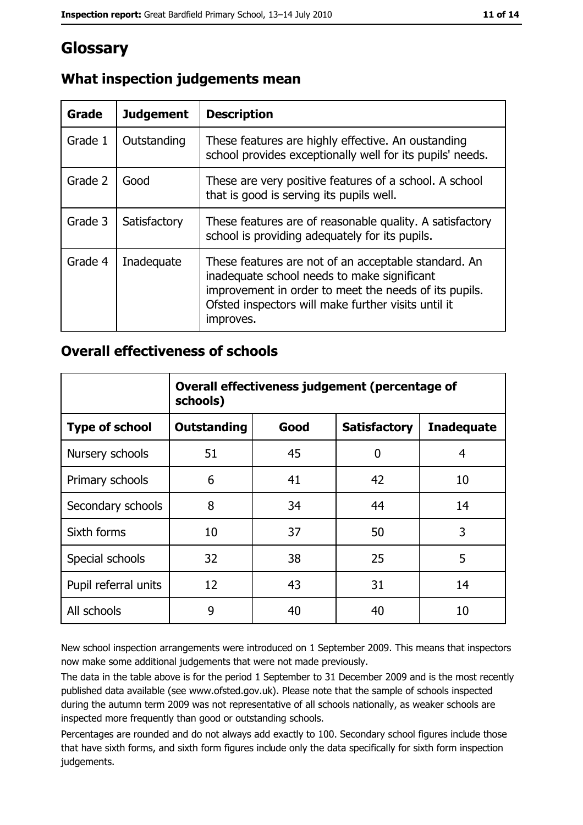## Glossary

| Grade   | <b>Judgement</b> | <b>Description</b>                                                                                                                                                                                                               |
|---------|------------------|----------------------------------------------------------------------------------------------------------------------------------------------------------------------------------------------------------------------------------|
| Grade 1 | Outstanding      | These features are highly effective. An oustanding<br>school provides exceptionally well for its pupils' needs.                                                                                                                  |
| Grade 2 | Good             | These are very positive features of a school. A school<br>that is good is serving its pupils well.                                                                                                                               |
| Grade 3 | Satisfactory     | These features are of reasonable quality. A satisfactory<br>school is providing adequately for its pupils.                                                                                                                       |
| Grade 4 | Inadequate       | These features are not of an acceptable standard. An<br>inadequate school needs to make significant<br>improvement in order to meet the needs of its pupils.<br>Ofsted inspectors will make further visits until it<br>improves. |

## What inspection judgements mean

## **Overall effectiveness of schools**

|                       | Overall effectiveness judgement (percentage of<br>schools) |      |                     |                   |  |
|-----------------------|------------------------------------------------------------|------|---------------------|-------------------|--|
| <b>Type of school</b> | <b>Outstanding</b>                                         | Good | <b>Satisfactory</b> | <b>Inadequate</b> |  |
| Nursery schools       | 51                                                         | 45   | 0                   | 4                 |  |
| Primary schools       | 6                                                          | 41   | 42                  | 10                |  |
| Secondary schools     | 8                                                          | 34   | 44                  | 14                |  |
| Sixth forms           | 10                                                         | 37   | 50                  | 3                 |  |
| Special schools       | 32                                                         | 38   | 25                  | 5                 |  |
| Pupil referral units  | 12                                                         | 43   | 31                  | 14                |  |
| All schools           | 9                                                          | 40   | 40                  | 10                |  |

New school inspection arrangements were introduced on 1 September 2009. This means that inspectors now make some additional judgements that were not made previously.

The data in the table above is for the period 1 September to 31 December 2009 and is the most recently published data available (see www.ofsted.gov.uk). Please note that the sample of schools inspected during the autumn term 2009 was not representative of all schools nationally, as weaker schools are inspected more frequently than good or outstanding schools.

Percentages are rounded and do not always add exactly to 100. Secondary school figures include those that have sixth forms, and sixth form figures include only the data specifically for sixth form inspection judgements.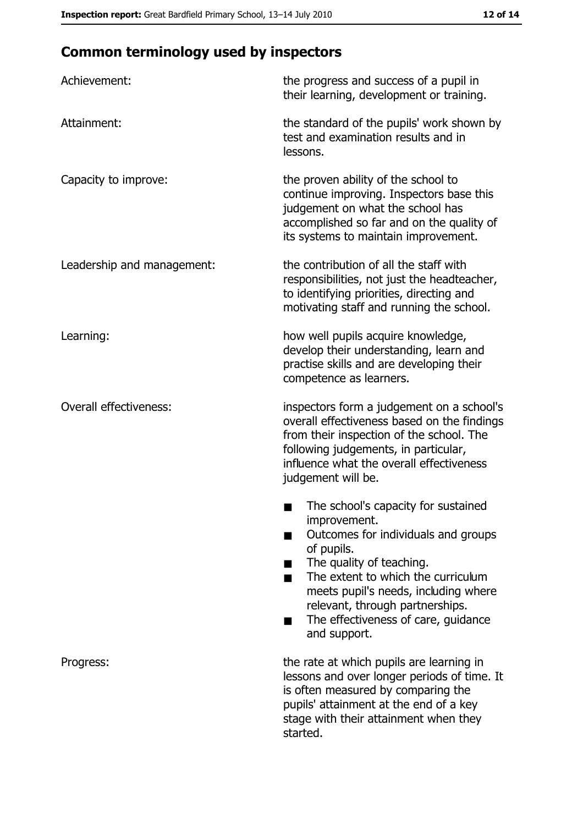# **Common terminology used by inspectors**

| Achievement:                  | the progress and success of a pupil in<br>their learning, development or training.                                                                                                                                                                                                                           |
|-------------------------------|--------------------------------------------------------------------------------------------------------------------------------------------------------------------------------------------------------------------------------------------------------------------------------------------------------------|
| Attainment:                   | the standard of the pupils' work shown by<br>test and examination results and in<br>lessons.                                                                                                                                                                                                                 |
| Capacity to improve:          | the proven ability of the school to<br>continue improving. Inspectors base this<br>judgement on what the school has<br>accomplished so far and on the quality of<br>its systems to maintain improvement.                                                                                                     |
| Leadership and management:    | the contribution of all the staff with<br>responsibilities, not just the headteacher,<br>to identifying priorities, directing and<br>motivating staff and running the school.                                                                                                                                |
| Learning:                     | how well pupils acquire knowledge,<br>develop their understanding, learn and<br>practise skills and are developing their<br>competence as learners.                                                                                                                                                          |
| <b>Overall effectiveness:</b> | inspectors form a judgement on a school's<br>overall effectiveness based on the findings<br>from their inspection of the school. The<br>following judgements, in particular,<br>influence what the overall effectiveness<br>judgement will be.                                                               |
|                               | The school's capacity for sustained<br>improvement.<br>Outcomes for individuals and groups<br>of pupils.<br>The quality of teaching.<br>The extent to which the curriculum<br>meets pupil's needs, including where<br>relevant, through partnerships.<br>The effectiveness of care, guidance<br>and support. |
| Progress:                     | the rate at which pupils are learning in<br>lessons and over longer periods of time. It<br>is often measured by comparing the<br>pupils' attainment at the end of a key<br>stage with their attainment when they<br>started.                                                                                 |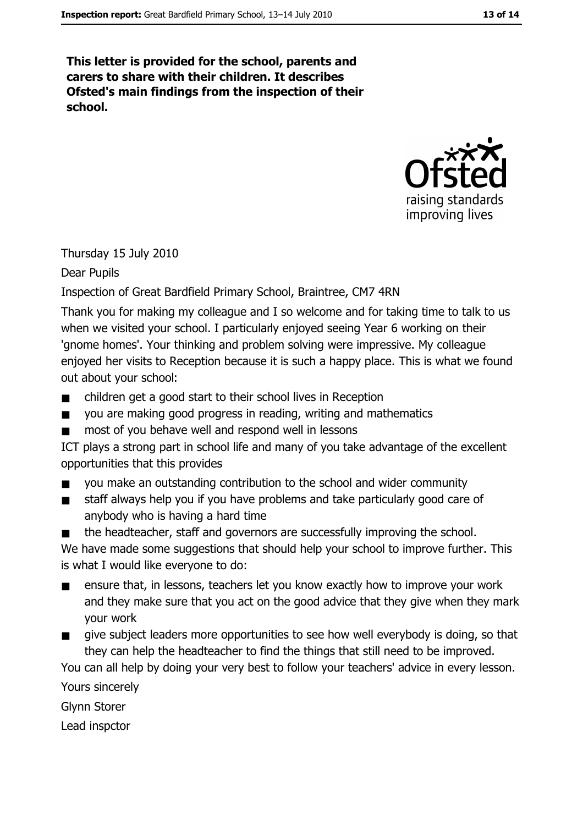This letter is provided for the school, parents and carers to share with their children. It describes Ofsted's main findings from the inspection of their school.



Thursday 15 July 2010

Dear Pupils

Inspection of Great Bardfield Primary School, Braintree, CM7 4RN

Thank you for making my colleague and I so welcome and for taking time to talk to us when we visited your school. I particularly enjoyed seeing Year 6 working on their 'gnome homes'. Your thinking and problem solving were impressive. My colleague enjoyed her visits to Reception because it is such a happy place. This is what we found out about your school:

- children get a good start to their school lives in Reception
- you are making good progress in reading, writing and mathematics  $\blacksquare$
- most of you behave well and respond well in lessons

ICT plays a strong part in school life and many of you take advantage of the excellent opportunities that this provides

- you make an outstanding contribution to the school and wider community  $\blacksquare$
- staff always help you if you have problems and take particularly good care of  $\blacksquare$ anybody who is having a hard time
- the headteacher, staff and governors are successfully improving the school.  $\blacksquare$

We have made some suggestions that should help your school to improve further. This is what I would like everyone to do:

- ensure that, in lessons, teachers let you know exactly how to improve your work and they make sure that you act on the good advice that they give when they mark your work
- give subject leaders more opportunities to see how well everybody is doing, so that  $\blacksquare$ they can help the headteacher to find the things that still need to be improved.

You can all help by doing your very best to follow your teachers' advice in every lesson. Yours sincerely

**Glynn Storer** 

Lead inspctor